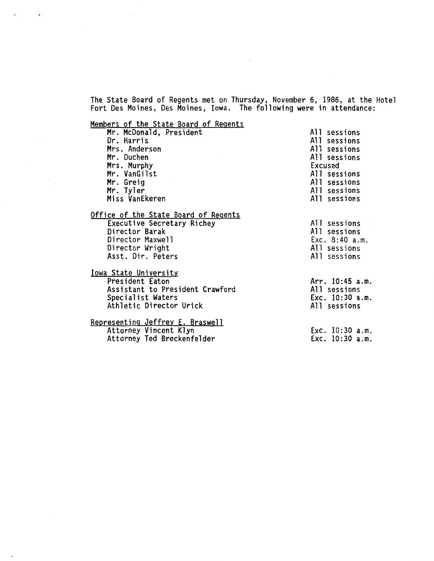The State Board of Regents met on Thursday, November 6, 1986, at the Hotel Fort Des Moines, Des Moines, Iowa. The following were in attendance:

 $\sim 10^{-11}$ 

Members of the State Board of Regents

| Mr. McDonald, President              | All sessions    |
|--------------------------------------|-----------------|
| Dr. Harris                           | All sessions    |
| Mrs. Anderson                        | All sessions    |
| Mr. Duchen                           | All sessions    |
| Mrs. Murphy                          | Excused         |
| Mr. VanGilst                         | All sessions    |
| Mr. Greig                            | All sessions    |
| Mr. Tyler                            | All sessions    |
| Miss VanEkeren                       | All sessions    |
| Office of the State Board of Regents |                 |
| Executive Secretary Richey           | All sessions    |
| Director Barak                       | All sessions    |
| Director Maxwell                     | Exc. 8:40 a.m.  |
| Director Wright                      | All sessions    |
| Asst. Dir. Peters                    | All sessions    |
| <u>Iowa State University</u>         |                 |
| President Eaton                      | Arr. 10:45 a.m. |
| Assistant to President Crawford      | All sessions    |
| Specialist Waters                    | Exc. 10:30 a.m. |
| Athletic Director Urick              | All sessions    |
| Representing Jeffrey E. Braswell     |                 |
| Attorney Vincent Klyn                | Exc. 10:30 a.m. |
| Attorney Ted Breckenfelder           | Exc. 10:30 a.m. |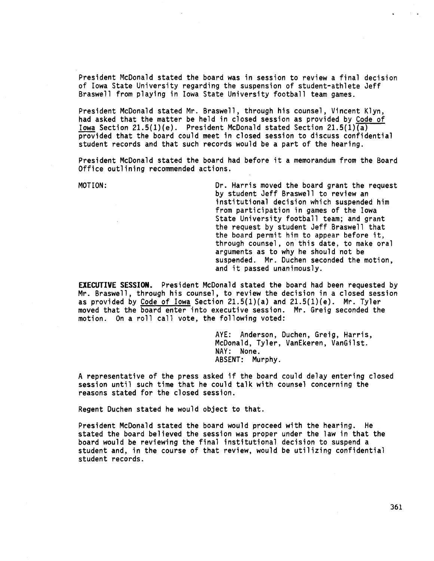President McDonald stated the board was in session to review a final decision of Iowa State University regarding the suspension of student-athlete Jeff Braswell from playing in Iowa State University football team games.

President McDonald stated Mr. Braswell, through his counsel, Vincent Klyn, had asked that the matter be held in closed session as provided by Code of Iowa Section 21.5(1)(e). President McDonald stated Section 21.5(1) $\overline{(a)}$ provided that the board could meet in closed session to discuss confidential student records and that such records would be a part of the hearing.

President McDonald stated the board had before it a memorandum from the Board Office outlining recommended actions.

MOTION: Dr. Harris moved the board grant the request by student Jeff Braswell to review an institutional decision which suspended him from participation in games of the Iowa State University football team; and grant the request by student Jeff Braswell that the board permit him to appear before it, through counsel, on this date, to make oral arguments as to why he should not be suspended. Mr. Duchen seconded the motion, and it passed unanimously.

**EXECUTIVE SESSION.** President McDonald stated the board had been requested by Mr. Braswell, through his counsel, to review the decision in a closed session as provided by Code of Iowa Section  $21.5(1)(a)$  and  $21.5(1)(e)$ . Mr. Tyler moved that the board enter into executive session. Mr. Greig seconded the motion. On a roll call vote, the following voted:

> AYE: Anderson, Duchen, Greig, Harris, McDonald, Tyler, VanEkeren, VanGilst. NAY: None. ABSENT: Murphy.

A representative of the press asked if the board could delay entering closed session until such time that he could talk with counsel concerning the reasons stated for the closed session.

Regent Duchen stated he would object to that.

President McDonald stated the board would proceed with the hearing. He stated the board believed the session was proper under the law in that the board would be reviewing the final institutional decision to suspend a student and, in the course of that review, would be utilizing confidential student records.